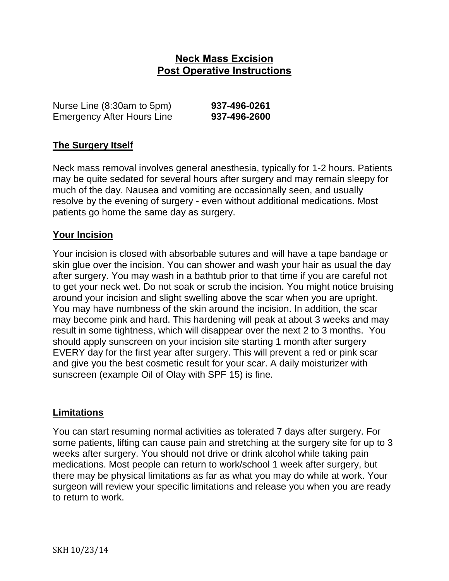# **Neck Mass Excision Post Operative Instructions**

Nurse Line (8:30am to 5pm) **937-496-0261** Emergency After Hours Line **937-496-2600**

## **The Surgery Itself**

Neck mass removal involves general anesthesia, typically for 1-2 hours. Patients may be quite sedated for several hours after surgery and may remain sleepy for much of the day. Nausea and vomiting are occasionally seen, and usually resolve by the evening of surgery - even without additional medications. Most patients go home the same day as surgery.

## **Your Incision**

Your incision is closed with absorbable sutures and will have a tape bandage or skin glue over the incision. You can shower and wash your hair as usual the day after surgery. You may wash in a bathtub prior to that time if you are careful not to get your neck wet. Do not soak or scrub the incision. You might notice bruising around your incision and slight swelling above the scar when you are upright. You may have numbness of the skin around the incision. In addition, the scar may become pink and hard. This hardening will peak at about 3 weeks and may result in some tightness, which will disappear over the next 2 to 3 months. You should apply sunscreen on your incision site starting 1 month after surgery EVERY day for the first year after surgery. This will prevent a red or pink scar and give you the best cosmetic result for your scar. A daily moisturizer with sunscreen (example Oil of Olay with SPF 15) is fine.

#### **Limitations**

You can start resuming normal activities as tolerated 7 days after surgery. For some patients, lifting can cause pain and stretching at the surgery site for up to 3 weeks after surgery. You should not drive or drink alcohol while taking pain medications. Most people can return to work/school 1 week after surgery, but there may be physical limitations as far as what you may do while at work. Your surgeon will review your specific limitations and release you when you are ready to return to work.